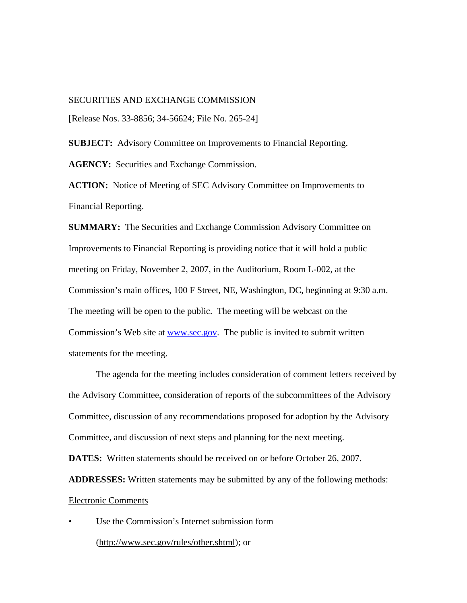## SECURITIES AND EXCHANGE COMMISSION

[Release Nos. 33-8856; 34-56624; File No. 265-24]

**SUBJECT:** Advisory Committee on Improvements to Financial Reporting.

**AGENCY:** Securities and Exchange Commission.

ACTION: Notice of Meeting of SEC Advisory Committee on Improvements to Financial Reporting.

**SUMMARY:** The Securities and Exchange Commission Advisory Committee on Improvements to Financial Reporting is providing notice that it will hold a public meeting on Friday, November 2, 2007, in the Auditorium, Room L-002, at the Commission's main offices, 100 F Street, NE, Washington, DC, beginning at 9:30 a.m. The meeting will be open to the public. The meeting will be webcast on the Commission's Web site at www.sec.gov. The public is invited to submit written statements for the meeting.

The agenda for the meeting includes consideration of comment letters received by the Advisory Committee, consideration of reports of the subcommittees of the Advisory Committee, discussion of any recommendations proposed for adoption by the Advisory Committee, and discussion of next steps and planning for the next meeting.

**DATES:** Written statements should be received on or before October 26, 2007.

**ADDRESSES:** Written statements may be submitted by any of the following methods: Electronic Comments

Use the Commission's Internet submission form (http://www.sec.gov/rules/other.shtml); or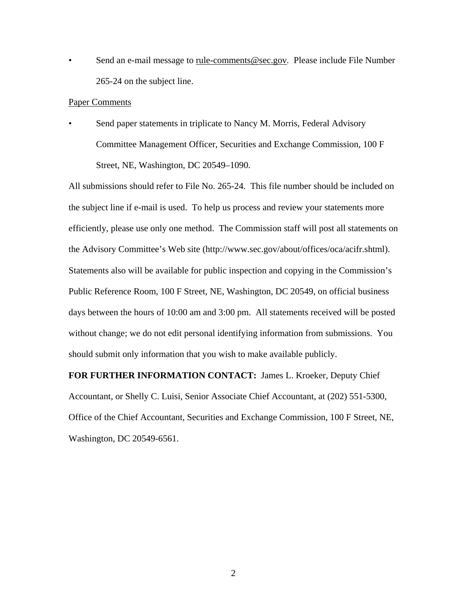• Send an e-mail message to rule-comments@sec.gov*.* Please include File Number 265-24 on the subject line.

## Paper Comments

Send paper statements in triplicate to Nancy M. Morris, Federal Advisory Committee Management Officer, Securities and Exchange Commission, 100 F Street, NE, Washington, DC 20549–1090.

All submissions should refer to File No. 265-24. This file number should be included on the subject line if e-mail is used. To help us process and review your statements more efficiently, please use only one method. The Commission staff will post all statements on the Advisory Committee's Web site (http://www.sec.gov/about/offices/oca/acifr.shtml). Statements also will be available for public inspection and copying in the Commission's Public Reference Room, 100 F Street, NE, Washington, DC 20549, on official business days between the hours of 10:00 am and 3:00 pm. All statements received will be posted without change; we do not edit personal identifying information from submissions. You should submit only information that you wish to make available publicly.

**FOR FURTHER INFORMATION CONTACT:** James L. Kroeker, Deputy Chief Accountant, or Shelly C. Luisi, Senior Associate Chief Accountant, at (202) 551-5300, Office of the Chief Accountant, Securities and Exchange Commission, 100 F Street, NE, Washington, DC 20549-6561.